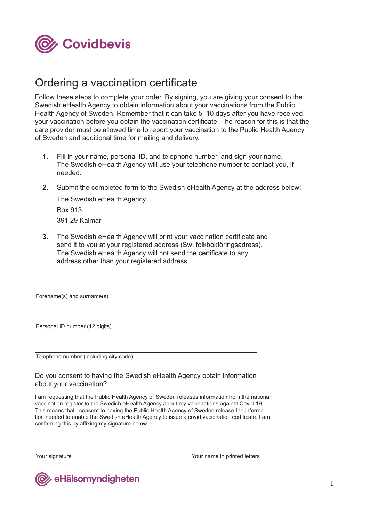

# Ordering a vaccination certificate

Follow these steps to complete your order. By signing, you are giving your consent to the Swedish eHealth Agency to obtain information about your vaccinations from the Public Health Agency of Sweden. Remember that it can take 5–10 days after you have received your vaccination before you obtain the vaccination certificate. The reason for this is that the care provider must be allowed time to report your vaccination to the Public Health Agency of Sweden and additional time for mailing and delivery.

- Fill in your name, personal ID, and telephone number, and sign your name. The Swedish eHealth Agency will use your telephone number to contact you, if needed. **1.**
- **2.** Submit the completed form to the Swedish eHealth Agency at the address below:

The Swedish eHealth Agency Box 913 391 29 Kalmar

**3.** The Swedish eHealth Agency will print your vaccination certificate and send it to you at your registered address (Sw: folkbokföringsadress). The Swedish eHealth Agency will not send the certificate to any address other than your registered address.

Forename(s) and surname(s)

Personal ID number (12 digits)

Telephone number (including city code)

Do you consent to having the Swedish eHealth Agency obtain information about your vaccination?

I am requesting that the Public Health Agency of Sweden releases information from the national vaccination register to the Swedich eHealth Agency about my vaccinations against Covid-19. This means that I consent to having the Public Health Agency of Sweden release the information needed to enable the Swedish eHealth Agency to issue a covid vaccination certificate. I am confirming this by affixing my signature below.

Your signature **Your signature** Your name in printed letters

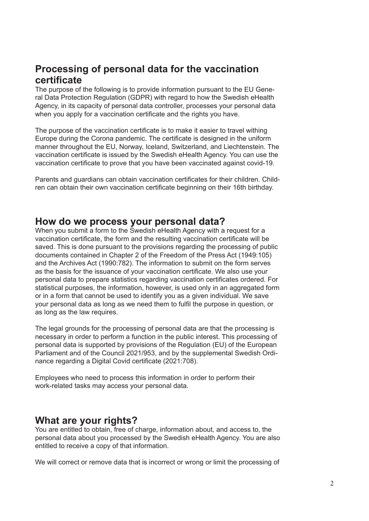# **Processing of personal data for the vaccination certificate**

The purpose of the following is to provide information pursuant to the EU General Data Protection Regulation (GDPR) with regard to how the Swedish eHealth Agency, in its capacity of personal data controller, processes your personal data when you apply for a vaccination certificate and the rights you have.

The purpose of the vaccination certificate is to make it easier to travel withing Europe during the Corona pandemic. The certificate is designed in the uniform manner throughout the EU, Norway, Iceland, Switzerland, and Liechtenstein. The vaccination certificate is issued by the Swedish eHealth Agency. You can use the vaccination certificate to prove that you have been vaccinated against covid-19.

Parents and guardians can obtain vaccination certificates for their children. Children can obtain their own vaccination certificate beginning on their 16th birthday.

#### **How do we process your personal data?**

When you submit a form to the Swedish eHealth Agency with a request for a vaccination certificate, the form and the resulting vaccination certificate will be saved. This is done pursuant to the provisions regarding the processing of public documents contained in Chapter 2 of the Freedom of the Press Act (1949:105) and the Archives Act (1990:782). The information to submit on the form serves as the basis for the issuance of your vaccination certificate. We also use your personal data to prepare statistics regarding vaccination certificates ordered. For statistical purposes, the information, however, is used only in an aggregated form or in a form that cannot be used to identify you as a given individual. We save your personal data as long as we need them to fulfil the purpose in question, or as long as the law requires.

The legal grounds for the processing of personal data are that the processing is necessary in order to perform a function in the public interest. This processing of personal data is supported by provisions of the Regulation (EU) of the European Parliament and of the Council 2021/953, and by the supplemental Swedish Ordinance regarding a Digital Covid certificate (2021:708).

Employees who need to process this information in order to perform their work-related tasks may access your personal data.

## **What are your rights?**

You are entitled to obtain, free of charge, information about, and access to, the personal data about you processed by the Swedish eHealth Agency. You are also entitled to receive a copy of that information.

We will correct or remove data that is incorrect or wrong or limit the processing of